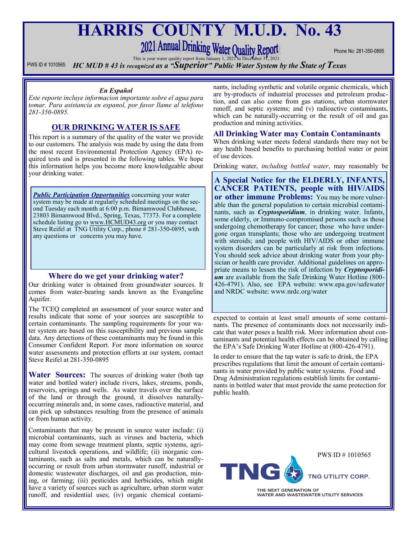# **HARRIS COUNTY M.U.D. No. 43**

# 2021 Annual Drinking Water Quality Report This is your water quality report from January 1, 2021 to December 31, 2021

Phone No: 281-350-0895

PWS ID # 1010565 *HC MUD # 43 is recognized as a "Superior" Public Water System by the State of Texas*

#### *En Español*

*Este reporte incluye informacion importante sobre el agua para tomar. Para asistancia en espanol, por favor llame al telefono 281-350-0895.*

## **OUR DRINKING WATER IS SAFE**

This report is a summary of the quality of the water we provide to our customers. The analysis was made by using the data from the most recent Environmental Protection Agency (EPA) required tests and is presented in the following tables. We hope this information helps you become more knowledgeable about your drinking water.

**Public Participation Opportunities** concerning your water system may be made at regularly scheduled meetings on the second Tuesday each month at 6:00 p.m. Birnamwood Clubhouse, 23803 Birnamwood Blvd., Spring, Texas, 77373. For a complete schedule listing go to www.HCMUD43.org or you may contact Steve Reifel at TNG Utility Corp., phone # 281-350-0895, with any questions or concerns you may have.

## **Where do we get your drinking water?**

Our drinking water is obtained from groundwater sources. It comes from water-bearing sands known as the Evangeline Aquifer.

The TCEQ completed an assessment of your source water and results indicate that some of your sources are susceptible to certain contaminants. The sampling requirements for your water system are based on this susceptibility and previous sample data. Any detections of these contaminants may be found in this Consumer Confident Report. For more information on source water assessments and protection efforts at our system, contact Steve Reifel at 281-350-0895

**Water Sources:** The sources of drinking water (both tap water and bottled water) include rivers, lakes, streams, ponds, reservoirs, springs and wells. As water travels over the surface of the land or through the ground, it dissolves naturallyoccurring minerals and, in some cases, radioactive material, and can pick up substances resulting from the presence of animals or from human activity.

Contaminants that may be present in source water include: (i) microbial contaminants, such as viruses and bacteria, which may come from sewage treatment plants, septic systems, agricultural livestock operations, and wildlife; (ii) inorganic contaminants, such as salts and metals, which can be naturallyoccurring or result from urban stormwater runoff, industrial or domestic wastewater discharges, oil and gas production, mining, or farming; (iii) pesticides and herbicides, which might have a variety of sources such as agriculture, urban storm water runoff, and residential uses; (iv) organic chemical contaminants, including synthetic and volatile organic chemicals, which are by-products of industrial processes and petroleum production, and can also come from gas stations, urban stormwater runoff, and septic systems; and (v) radioactive contaminants, which can be naturally-occurring or the result of oil and gas production and mining activities.

#### **All Drinking Water may Contain Contaminants**

When drinking water meets federal standards there may not be any health based benefits to purchasing bottled water or point of use devices.

Drinking water, *including bottled water*, may reasonably be

**A Special Notice for the ELDERLY, INFANTS, CANCER PATIENTS, people with HIV/AIDS or other immune Problems:** You may be more vulnerable than the general population to certain microbial contaminants, such as *Cryptosporidium,* in drinking water. Infants, some elderly, or Immuno-compromised persons such as those undergoing chemotherapy for cancer; those who have undergone organ transplants; those who are undergoing treatment with steroids; and people with HIV/AIDS or other immune system disorders can be particularly at risk from infections. You should seek advice about drinking water from your physician or health care provider. Additional guidelines on appropriate means to lessen the risk of infection by *Cryptosporidi***um** are available from the Safe Drinking Water Hotline (800-426-4791). Also, see EPA website: www.epa.gov/safewater and NRDC website: www.nrdc.org/water

expected to contain at least small amounts of some contaminants. The presence of contaminants does not necessarily indicate that water poses a health risk. More information about contaminants and potential health effects can be obtained by calling the EPA's Safe Drinking Water Hotline at (800-426-4791).

In order to ensure that the tap water is safe to drink, the EPA prescribes regulations that limit the amount of certain contaminants in water provided by public water systems. Food and Drug Administration regulations establish limits for contaminants in bottled water that must provide the same protection for public health.

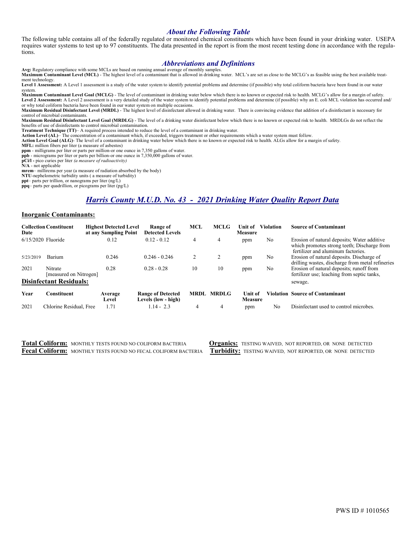#### *About the Following Table*

The following table contains all of the federally regulated or monitored chemical constituents which have been found in your drinking water. USEPA requires water systems to test up to 97 constituents. The data presented in the report is from the most recent testing done in accordance with the regulations.

#### *Abbreviations and Definitions*

**Avg:** Regulatory compliance with some MCLs are based on running annual average of monthly samples. **Maximum Contaminant Level (MCL)** - The highest level of a contaminant that is allowed in drinking water. MCL's are set as close to the MCLG's as feasible using the best available treatment technology.

**Level 1 Assessment:** A Level 1 assessment is a study of the water system to identify potential problems and determine (if possible) why total coliform bacteria have been found in our water system.

**Maximum Contaminant Level Goal (MCLG)** - The level of contaminant in drinking water below which there is no known or expected risk to health. MCLG's allow for a margin of safety. Level 2 Assessment: A Level 2 assessment is a very detailed study of the water system to identify potential problems and determine (if possible) why an E. coli MCL violation has occurred and/ or why total coliform bacteria have been found in our water system on multiple occasions.

**Maximum Residual Disinfectant Level (MRDL)** - The highest level of disinfectant allowed in drinking water. There is convincing evidence that addition of a disinfectant is necessary for control of microbial contaminants.

**Maximum Residual Disinfectant Level Goal (MRDLG)** - The level of a drinking water disinfectant below which there is no known or expected risk to health. MRDLGs do not reflect the benefits of use of disinfectants to control microbial contamination.

**Treatment Technique (TT)**– A required process intended to reduce the level of a contaminant in drinking water.

Action Level (AL)– The concentration of a contaminant which, if exceeded, triggers treatment or other requirements which a water system must follow.<br>Action Level Goal (ALG)- The level of a contaminant in drinking water bel

**MFL:** million fibers per liter (a measure of asbestos)

**ppm** - milligrams per liter or parts per million-or one ounce in 7,350 gallons of water.

**ppb** - micrograms per liter or parts per billion-or one ounce in 7,350,000 gallons of water.

**pCi/l -** pico curies per liter *(a measure of radioactivity)*  **N/A** - not applicable

**mrem**– millirems per year (a measure of radiation absorbed by the body)

**NTU**-nephelometric turbidity units ( a measure of turbidity)

**ppt**– parts per trillion, or nanograms per liter (ng/L)

**ppq**– parts per quadrillion, or picograms per liter (pg/L)

# *Harris County M.U.D. No. 43 - 2021 Drinking Water Quality Report Data*

#### **Inorganic Contaminants:**

| Date                           | <b>Collection Constituent</b>     | <b>Highest Detected Level</b><br>at any Sampling Point | Range of<br><b>Detected Levels</b>              | MCL         | <b>MCLG</b>  | Unit of<br><b>Measure</b>        | <b>Violation</b> | <b>Source of Contaminant</b>                                                                                                     |
|--------------------------------|-----------------------------------|--------------------------------------------------------|-------------------------------------------------|-------------|--------------|----------------------------------|------------------|----------------------------------------------------------------------------------------------------------------------------------|
| $6/15/2020$ Fluoride           |                                   | 0.12                                                   | $0.12 - 0.12$                                   | 4           | 4            | ppm                              | No               | Erosion of natural deposits; Water additive<br>which promotes strong teeth; Discharge from<br>fertilizer and aluminum factories. |
| 5/23/2019                      | Barium                            | 0.246                                                  | $0.246 - 0.246$                                 | 2           | 2            | ppm                              | No               | Erosion of natural deposits. Discharge of<br>drilling wastes, discharge from metal refineries                                    |
| 2021                           | Nitrate<br>[measured on Nitrogen] | 0.28                                                   | $0.28 - 0.28$                                   | 10          | 10           | ppm                              | No               | Erosion of natural deposits; runoff from<br>fertilizer use; leaching from septic tanks,                                          |
| <b>Disinfectant Residuals:</b> |                                   |                                                        |                                                 |             |              |                                  |                  | sewage.                                                                                                                          |
| Year                           | Constituent                       | Average<br>Level                                       | <b>Range of Detected</b><br>Levels (low - high) | <b>MRDL</b> | <b>MRDLG</b> | <b>Unit of</b><br><b>Measure</b> |                  | Violation Source of Contaminant                                                                                                  |
| 2021                           | Chlorine Residual, Free           | 1.71                                                   | $1.14 - 2.3$                                    | 4           | 4            | ppm                              | No               | Disinfectant used to control microbes.                                                                                           |

**Total Coliform:** MONTHLY TESTS FOUND NO COLIFORM BACTERIA **Organics:** TESTING WAIVED, NOT REPORTED, OR NONE DETECTED **Fecal Coliform:** MONTHLY TESTS FOUND NO FECAL COLIFORM BACTERIA **Turbidity:** TESTING WAIVED, NOT REPORTED, OR NONE DETECTED